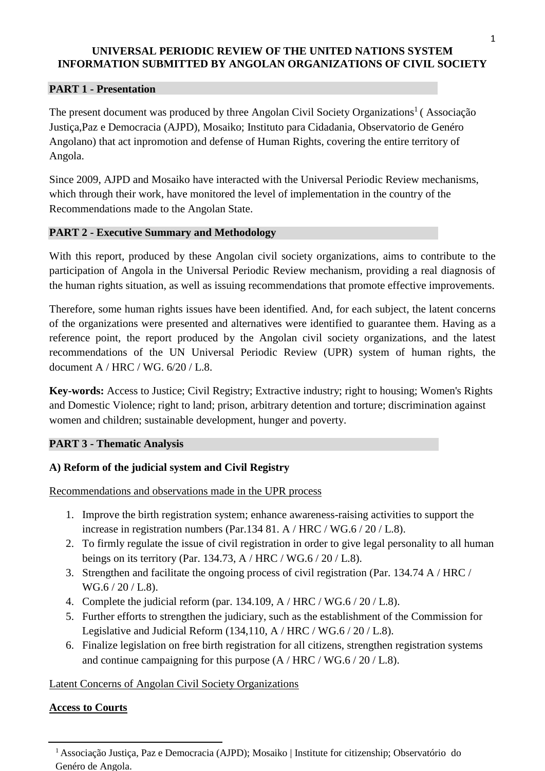## **PART 1 - Presentation**

The present document was produced by three Angolan Civil Society Organizations<sup>1</sup> (Associação Justiça,Paz e Democracia (AJPD), Mosaiko; Instituto para Cidadania, Observatorio de Genéro Angolano) that act inpromotion and defense of Human Rights, covering the entire territory of Angola.

Since 2009, AJPD and Mosaiko have interacted with the Universal Periodic Review mechanisms, which through their work, have monitored the level of implementation in the country of the Recommendations made to the Angolan State.

## **PART 2 - Executive Summary and Methodology**

With this report, produced by these Angolan civil society organizations, aims to contribute to the participation of Angola in the Universal Periodic Review mechanism, providing a real diagnosis of the human rights situation, as well as issuing recommendations that promote effective improvements.

Therefore, some human rights issues have been identified. And, for each subject, the latent concerns of the organizations were presented and alternatives were identified to guarantee them. Having as a reference point, the report produced by the Angolan civil society organizations, and the latest recommendations of the UN Universal Periodic Review (UPR) system of human rights, the document A / HRC / WG. 6/20 / L.8.

**Key-words:** Access to Justice; Civil Registry; Extractive industry; right to housing; Women's Rights and Domestic Violence; right to land; prison, arbitrary detention and torture; discrimination against women and children; sustainable development, hunger and poverty.

# **PART 3 - Thematic Analysis**

# **A) Reform of the judicial system and Civil Registry**

Recommendations and observations made in the UPR process

- 1. Improve the birth registration system; enhance awareness-raising activities to support the increase in registration numbers (Par.134 81. A / HRC / WG.6 / 20 / L.8).
- 2. To firmly regulate the issue of civil registration in order to give legal personality to all human beings on its territory (Par. 134.73, A / HRC / WG.6 / 20 / L.8).
- 3. Strengthen and facilitate the ongoing process of civil registration (Par. 134.74 A / HRC / WG.6 / 20 / L.8).
- 4. Complete the judicial reform (par. 134.109, A / HRC / WG.6 / 20 / L.8).
- 5. Further efforts to strengthen the judiciary, such as the establishment of the Commission for Legislative and Judicial Reform (134,110, A / HRC / WG.6 / 20 / L.8).
- 6. Finalize legislation on free birth registration for all citizens, strengthen registration systems and continue campaigning for this purpose (A / HRC / WG.6 / 20 / L.8).

# Latent Concerns of Angolan Civil Society Organizations

# **Access to Courts**

<sup>1</sup>Associação Justiça, Paz e Democracia (AJPD); Mosaiko | Institute for citizenship; Observatório do Genéro de Angola.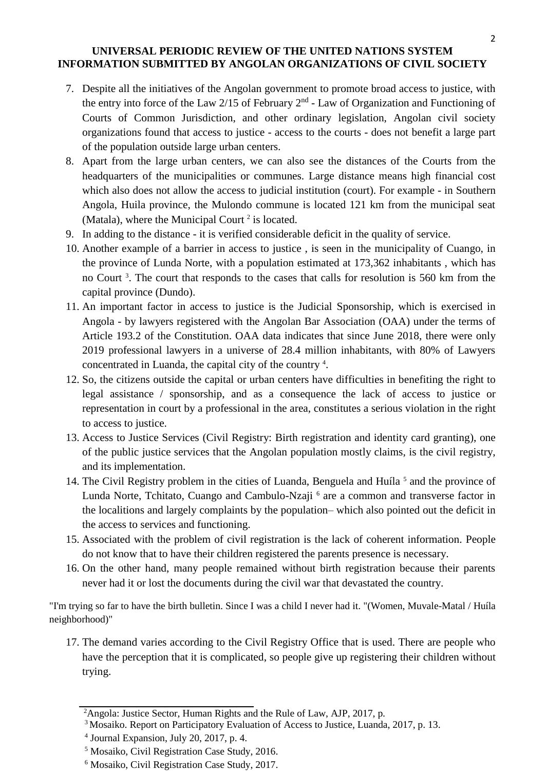- 7. Despite all the initiatives of the Angolan government to promote broad access to justice, with the entry into force of the Law  $2/15$  of February  $2<sup>nd</sup>$  - Law of Organization and Functioning of Courts of Common Jurisdiction, and other ordinary legislation, Angolan civil society organizations found that access to justice - access to the courts - does not benefit a large part of the population outside large urban centers.
- 8. Apart from the large urban centers, we can also see the distances of the Courts from the headquarters of the municipalities or communes. Large distance means high financial cost which also does not allow the access to judicial institution (court). For example - in Southern Angola, Huila province, the Mulondo commune is located 121 km from the municipal seat (Matala), where the Municipal Court<sup>2</sup> is located.
- 9. In adding to the distance it is verified considerable deficit in the quality of service.
- 10. Another example of a barrier in access to justice , is seen in the municipality of Cuango, in the province of Lunda Norte, with a population estimated at 173,362 inhabitants , which has no Court<sup>3</sup>. The court that responds to the cases that calls for resolution is 560 km from the capital province (Dundo).
- 11. An important factor in access to justice is the Judicial Sponsorship, which is exercised in Angola - by lawyers registered with the Angolan Bar Association (OAA) under the terms of Article 193.2 of the Constitution. OAA data indicates that since June 2018, there were only 2019 professional lawyers in a universe of 28.4 million inhabitants, with 80% of Lawyers concentrated in Luanda, the capital city of the country <sup>4</sup> .
- 12. So, the citizens outside the capital or urban centers have difficulties in benefiting the right to legal assistance / sponsorship, and as a consequence the lack of access to justice or representation in court by a professional in the area, constitutes a serious violation in the right to access to justice.
- 13. Access to Justice Services (Civil Registry: Birth registration and identity card granting), one of the public justice services that the Angolan population mostly claims, is the civil registry, and its implementation.
- 14. The Civil Registry problem in the cities of Luanda, Benguela and Huíla<sup>5</sup> and the province of Lunda Norte, Tchitato, Cuango and Cambulo-Nzaji <sup>6</sup> are a common and transverse factor in the localitions and largely complaints by the population– which also pointed out the deficit in the access to services and functioning.
- 15. Associated with the problem of civil registration is the lack of coherent information. People do not know that to have their children registered the parents presence is necessary.
- 16. On the other hand, many people remained without birth registration because their parents never had it or lost the documents during the civil war that devastated the country.

"I'm trying so far to have the birth bulletin. Since I was a child I never had it. "(Women, Muvale-Matal / Huíla neighborhood)"

17. The demand varies according to the Civil Registry Office that is used. There are people who have the perception that it is complicated, so people give up registering their children without trying.

<sup>2</sup>Angola: Justice Sector, Human Rights and the Rule of Law, AJP, 2017, p.

<sup>3</sup>Mosaiko. Report on Participatory Evaluation of Access to Justice, Luanda, 2017, p. 13.

<sup>4</sup> Journal Expansion, July 20, 2017, p. 4.

<sup>5</sup> Mosaiko, Civil Registration Case Study, 2016.

<sup>6</sup> Mosaiko, Civil Registration Case Study, 2017.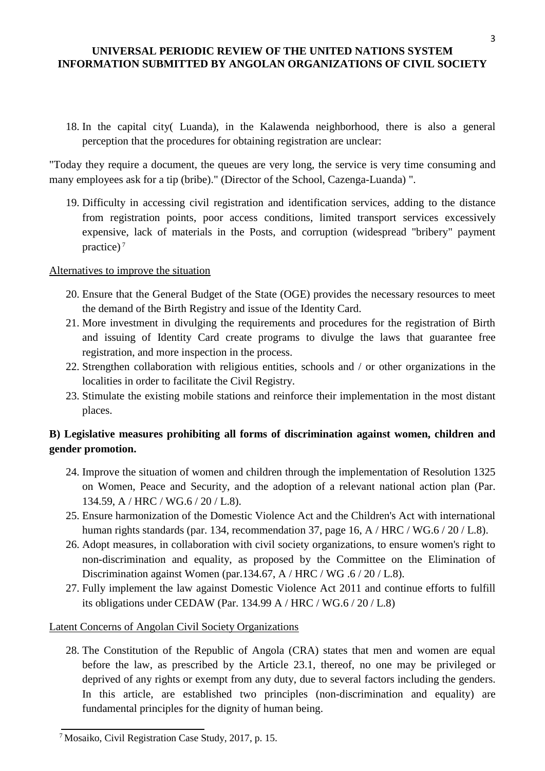18. In the capital city( Luanda), in the Kalawenda neighborhood, there is also a general perception that the procedures for obtaining registration are unclear:

"Today they require a document, the queues are very long, the service is very time consuming and many employees ask for a tip (bribe)." (Director of the School, Cazenga-Luanda) ".

19. Difficulty in accessing civil registration and identification services, adding to the distance from registration points, poor access conditions, limited transport services excessively expensive, lack of materials in the Posts, and corruption (widespread "bribery" payment practice) <sup>7</sup>

# Alternatives to improve the situation

- 20. Ensure that the General Budget of the State (OGE) provides the necessary resources to meet the demand of the Birth Registry and issue of the Identity Card.
- 21. More investment in divulging the requirements and procedures for the registration of Birth and issuing of Identity Card create programs to divulge the laws that guarantee free registration, and more inspection in the process.
- 22. Strengthen collaboration with religious entities, schools and / or other organizations in the localities in order to facilitate the Civil Registry.
- 23. Stimulate the existing mobile stations and reinforce their implementation in the most distant places.

# **B) Legislative measures prohibiting all forms of discrimination against women, children and gender promotion.**

- 24. Improve the situation of women and children through the implementation of Resolution 1325 on Women, Peace and Security, and the adoption of a relevant national action plan (Par. 134.59, A / HRC / WG.6 / 20 / L.8).
- 25. Ensure harmonization of the Domestic Violence Act and the Children's Act with international human rights standards (par. 134, recommendation 37, page 16, A / HRC / WG.6 / 20 / L.8).
- 26. Adopt measures, in collaboration with civil society organizations, to ensure women's right to non-discrimination and equality, as proposed by the Committee on the Elimination of Discrimination against Women (par.134.67, A / HRC / WG .6 / 20 / L.8).
- 27. Fully implement the law against Domestic Violence Act 2011 and continue efforts to fulfill its obligations under CEDAW (Par. 134.99 A / HRC / WG.6 / 20 / L.8)

# Latent Concerns of Angolan Civil Society Organizations

28. The Constitution of the Republic of Angola (CRA) states that men and women are equal before the law, as prescribed by the Article 23.1, thereof, no one may be privileged or deprived of any rights or exempt from any duty, due to several factors including the genders. In this article, are established two principles (non-discrimination and equality) are fundamental principles for the dignity of human being.

3

<sup>7</sup>Mosaiko, Civil Registration Case Study, 2017, p. 15.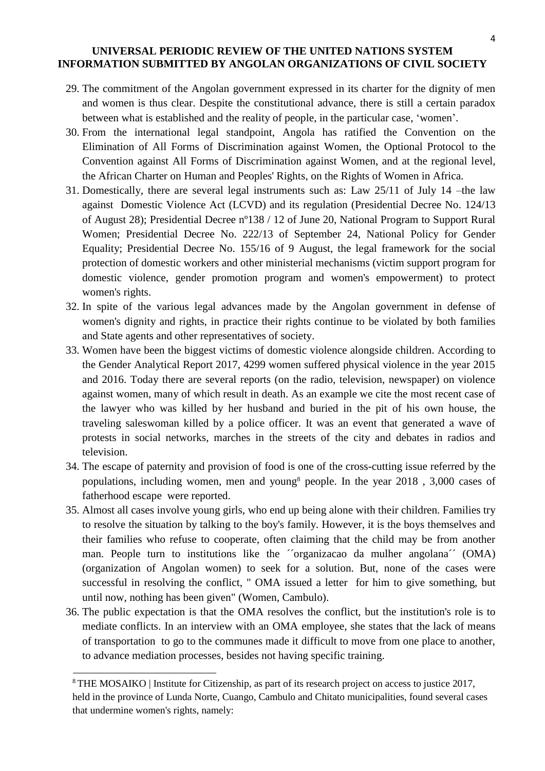- 29. The commitment of the Angolan government expressed in its charter for the dignity of men and women is thus clear. Despite the constitutional advance, there is still a certain paradox between what is established and the reality of people, in the particular case, 'women'.
- 30. From the international legal standpoint, Angola has ratified the Convention on the Elimination of All Forms of Discrimination against Women, the Optional Protocol to the Convention against All Forms of Discrimination against Women, and at the regional level, the African Charter on Human and Peoples' Rights, on the Rights of Women in Africa.
- 31. Domestically, there are several legal instruments such as: Law 25/11 of July 14 –the law against Domestic Violence Act (LCVD) and its regulation (Presidential Decree No. 124/13 of August 28); Presidential Decree nº138 / 12 of June 20, National Program to Support Rural Women; Presidential Decree No. 222/13 of September 24, National Policy for Gender Equality; Presidential Decree No. 155/16 of 9 August, the legal framework for the social protection of domestic workers and other ministerial mechanisms (victim support program for domestic violence, gender promotion program and women's empowerment) to protect women's rights.
- 32. In spite of the various legal advances made by the Angolan government in defense of women's dignity and rights, in practice their rights continue to be violated by both families and State agents and other representatives of society.
- 33. Women have been the biggest victims of domestic violence alongside children. According to the Gender Analytical Report 2017, 4299 women suffered physical violence in the year 2015 and 2016. Today there are several reports (on the radio, television, newspaper) on violence against women, many of which result in death. As an example we cite the most recent case of the lawyer who was killed by her husband and buried in the pit of his own house, the traveling saleswoman killed by a police officer. It was an event that generated a wave of protests in social networks, marches in the streets of the city and debates in radios and television.
- 34. The escape of paternity and provision of food is one of the cross-cutting issue referred by the populations, including women, men and young<sup>8</sup> people. In the year  $2018$ ,  $3,000$  cases of fatherhood escape were reported.
- 35. Almost all cases involve young girls, who end up being alone with their children. Families try to resolve the situation by talking to the boy's family. However, it is the boys themselves and their families who refuse to cooperate, often claiming that the child may be from another man. People turn to institutions like the ´´organizacao da mulher angolana´´ (OMA) (organization of Angolan women) to seek for a solution. But, none of the cases were successful in resolving the conflict, " OMA issued a letter for him to give something, but until now, nothing has been given" (Women, Cambulo).
- 36. The public expectation is that the OMA resolves the conflict, but the institution's role is to mediate conflicts. In an interview with an OMA employee, she states that the lack of means of transportation to go to the communes made it difficult to move from one place to another, to advance mediation processes, besides not having specific training.

<sup>&</sup>lt;sup>8</sup> THE MOSAIKO | Institute for Citizenship, as part of its research project on access to justice 2017, held in the province of Lunda Norte, Cuango, Cambulo and Chitato municipalities, found several cases that undermine women's rights, namely: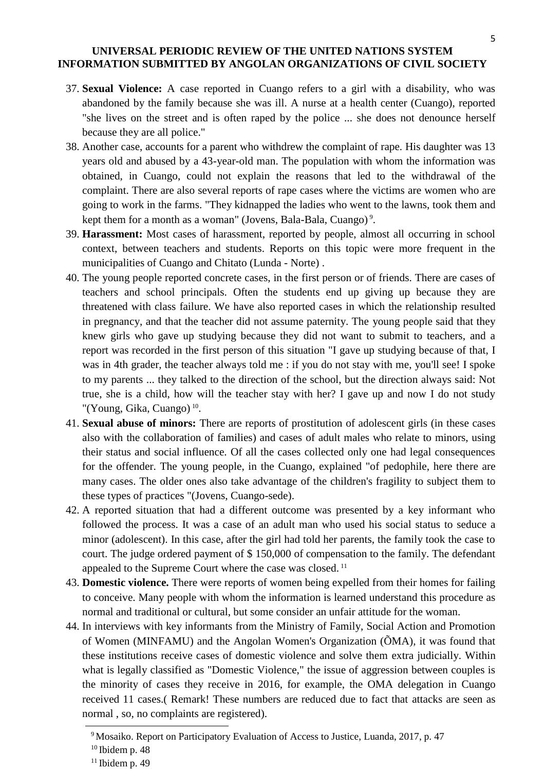- 37. **Sexual Violence:** A case reported in Cuango refers to a girl with a disability, who was abandoned by the family because she was ill. A nurse at a health center (Cuango), reported "she lives on the street and is often raped by the police ... she does not denounce herself because they are all police."
- 38. Another case, accounts for a parent who withdrew the complaint of rape. His daughter was 13 years old and abused by a 43-year-old man. The population with whom the information was obtained, in Cuango, could not explain the reasons that led to the withdrawal of the complaint. There are also several reports of rape cases where the victims are women who are going to work in the farms. "They kidnapped the ladies who went to the lawns, took them and kept them for a month as a woman" (Jovens, Bala-Bala, Cuango)<sup>9</sup>.
- 39. **Harassment:** Most cases of harassment, reported by people, almost all occurring in school context, between teachers and students. Reports on this topic were more frequent in the municipalities of Cuango and Chitato (Lunda - Norte) .
- 40. The young people reported concrete cases, in the first person or of friends. There are cases of teachers and school principals. Often the students end up giving up because they are threatened with class failure. We have also reported cases in which the relationship resulted in pregnancy, and that the teacher did not assume paternity. The young people said that they knew girls who gave up studying because they did not want to submit to teachers, and a report was recorded in the first person of this situation "I gave up studying because of that, I was in 4th grader, the teacher always told me : if you do not stay with me, you'll see! I spoke to my parents ... they talked to the direction of the school, but the direction always said: Not true, she is a child, how will the teacher stay with her? I gave up and now I do not study "(Young, Gika, Cuango)<sup>10</sup>.
- 41. **Sexual abuse of minors:** There are reports of prostitution of adolescent girls (in these cases also with the collaboration of families) and cases of adult males who relate to minors, using their status and social influence. Of all the cases collected only one had legal consequences for the offender. The young people, in the Cuango, explained "of pedophile, here there are many cases. The older ones also take advantage of the children's fragility to subject them to these types of practices "(Jovens, Cuango-sede).
- 42. A reported situation that had a different outcome was presented by a key informant who followed the process. It was a case of an adult man who used his social status to seduce a minor (adolescent). In this case, after the girl had told her parents, the family took the case to court. The judge ordered payment of \$ 150,000 of compensation to the family. The defendant appealed to the Supreme Court where the case was closed.<sup>11</sup>
- 43. **Domestic violence.** There were reports of women being expelled from their homes for failing to conceive. Many people with whom the information is learned understand this procedure as normal and traditional or cultural, but some consider an unfair attitude for the woman.
- 44. In interviews with key informants from the Ministry of Family, Social Action and Promotion of Women (MINFAMU) and the Angolan Women's Organization (ÕMA), it was found that these institutions receive cases of domestic violence and solve them extra judicially. Within what is legally classified as "Domestic Violence," the issue of aggression between couples is the minority of cases they receive in 2016, for example, the OMA delegation in Cuango received 11 cases.( Remark! These numbers are reduced due to fact that attacks are seen as normal , so, no complaints are registered).

<sup>&</sup>lt;sup>9</sup> Mosaiko. Report on Participatory Evaluation of Access to Justice, Luanda, 2017, p. 47

 $10$  Ibidem p. 48

 $11$  Ibidem p. 49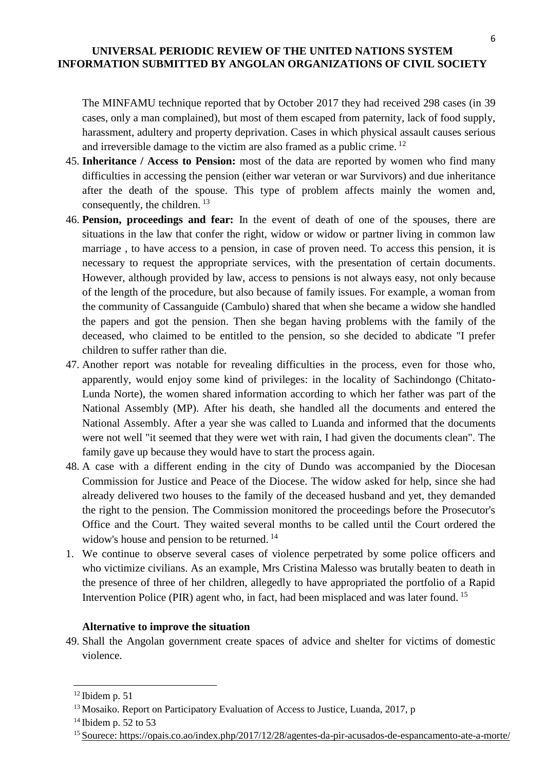The MINFAMU technique reported that by October 2017 they had received 298 cases (in 39 cases, only a man complained), but most of them escaped from paternity, lack of food supply, harassment, adultery and property deprivation. Cases in which physical assault causes serious and irreversible damage to the victim are also framed as a public crime. <sup>12</sup>

- 45. **Inheritance / Access to Pension:** most of the data are reported by women who find many difficulties in accessing the pension (either war veteran or war Survivors) and due inheritance after the death of the spouse. This type of problem affects mainly the women and, consequently, the children. <sup>13</sup>
- 46. **Pension, proceedings and fear:** In the event of death of one of the spouses, there are situations in the law that confer the right, widow or widow or partner living in common law marriage , to have access to a pension, in case of proven need. To access this pension, it is necessary to request the appropriate services, with the presentation of certain documents. However, although provided by law, access to pensions is not always easy, not only because of the length of the procedure, but also because of family issues. For example, a woman from the community of Cassanguide (Cambulo) shared that when she became a widow she handled the papers and got the pension. Then she began having problems with the family of the deceased, who claimed to be entitled to the pension, so she decided to abdicate "I prefer children to suffer rather than die.
- 47. Another report was notable for revealing difficulties in the process, even for those who, apparently, would enjoy some kind of privileges: in the locality of Sachindongo (Chitato-Lunda Norte), the women shared information according to which her father was part of the National Assembly (MP). After his death, she handled all the documents and entered the National Assembly. After a year she was called to Luanda and informed that the documents were not well "it seemed that they were wet with rain, I had given the documents clean". The family gave up because they would have to start the process again.
- 48. A case with a different ending in the city of Dundo was accompanied by the Diocesan Commission for Justice and Peace of the Diocese. The widow asked for help, since she had already delivered two houses to the family of the deceased husband and yet, they demanded the right to the pension. The Commission monitored the proceedings before the Prosecutor's Office and the Court. They waited several months to be called until the Court ordered the widow's house and pension to be returned.<sup>14</sup>
- 1. We continue to observe several cases of violence perpetrated by some police officers and who victimize civilians. As an example, Mrs Cristina Malesso was brutally beaten to death in the presence of three of her children, allegedly to have appropriated the portfolio of a Rapid Intervention Police (PIR) agent who, in fact, had been misplaced and was later found. <sup>15</sup>

#### **Alternative to improve the situation**

49. Shall the Angolan government create spaces of advice and shelter for victims of domestic violence.

 $12$  Ibidem p. 51

<sup>&</sup>lt;sup>13</sup> Mosaiko. Report on Participatory Evaluation of Access to Justice, Luanda, 2017, p

 $14$  Ibidem p. 52 to 53

<sup>15</sup> [Sourece: https://opais.co.ao/index.php/2017/12/28/agentes-da-pir-acusados-de-espancamento-ate-a-morte/](sourece:%20https://opais.co.ao/index.php/2017/12/28/agentes-da-pir-acusados-de-espancamento-ate-a-morte/)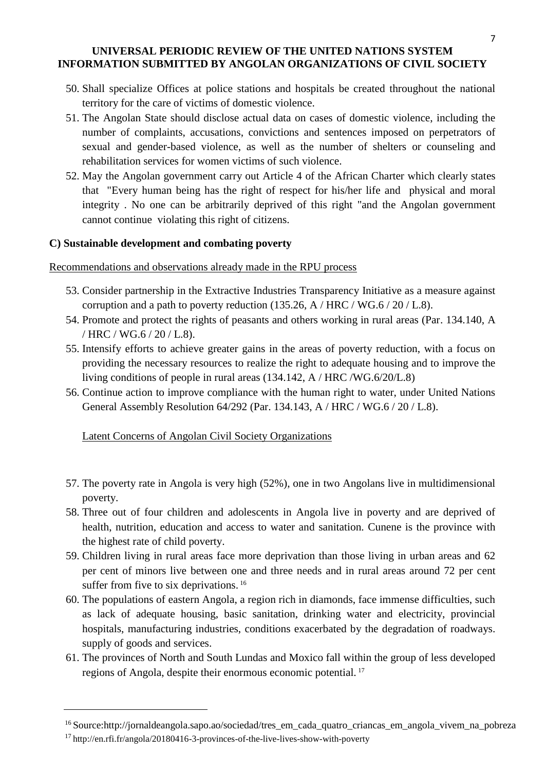- 50. Shall specialize Offices at police stations and hospitals be created throughout the national territory for the care of victims of domestic violence.
- 51. The Angolan State should disclose actual data on cases of domestic violence, including the number of complaints, accusations, convictions and sentences imposed on perpetrators of sexual and gender-based violence, as well as the number of shelters or counseling and rehabilitation services for women victims of such violence.
- 52. May the Angolan government carry out Article 4 of the African Charter which clearly states that "Every human being has the right of respect for his/her life and physical and moral integrity . No one can be arbitrarily deprived of this right "and the Angolan government cannot continue violating this right of citizens.

# **C) Sustainable development and combating poverty**

Recommendations and observations already made in the RPU process

- 53. Consider partnership in the Extractive Industries Transparency Initiative as a measure against corruption and a path to poverty reduction  $(135.26, A/HRC/WG.6 / 20 / L.8)$ .
- 54. Promote and protect the rights of peasants and others working in rural areas (Par. 134.140, A / HRC / WG.6 / 20 / L.8).
- 55. Intensify efforts to achieve greater gains in the areas of poverty reduction, with a focus on providing the necessary resources to realize the right to adequate housing and to improve the living conditions of people in rural areas (134.142, A / HRC /WG.6/20/L.8)
- 56. Continue action to improve compliance with the human right to water, under United Nations General Assembly Resolution 64/292 (Par. 134.143, A / HRC / WG.6 / 20 / L.8).

Latent Concerns of Angolan Civil Society Organizations

- 57. The poverty rate in Angola is very high (52%), one in two Angolans live in multidimensional poverty.
- 58. Three out of four children and adolescents in Angola live in poverty and are deprived of health, nutrition, education and access to water and sanitation. Cunene is the province with the highest rate of child poverty.
- 59. Children living in rural areas face more deprivation than those living in urban areas and 62 per cent of minors live between one and three needs and in rural areas around 72 per cent suffer from five to six deprivations.<sup>16</sup>
- 60. The populations of eastern Angola, a region rich in diamonds, face immense difficulties, such as lack of adequate housing, basic sanitation, drinking water and electricity, provincial hospitals, manufacturing industries, conditions exacerbated by the degradation of roadways. supply of goods and services.
- 61. The provinces of North and South Lundas and Moxico fall within the group of less developed regions of Angola, despite their enormous economic potential. <sup>17</sup>

<sup>16</sup>Source:http://jornaldeangola.sapo.ao/sociedad/tres\_em\_cada\_quatro\_criancas\_em\_angola\_vivem\_na\_pobreza

<sup>&</sup>lt;sup>17</sup> http://en.rfi.fr/angola/20180416-3-provinces-of-the-live-lives-show-with-poverty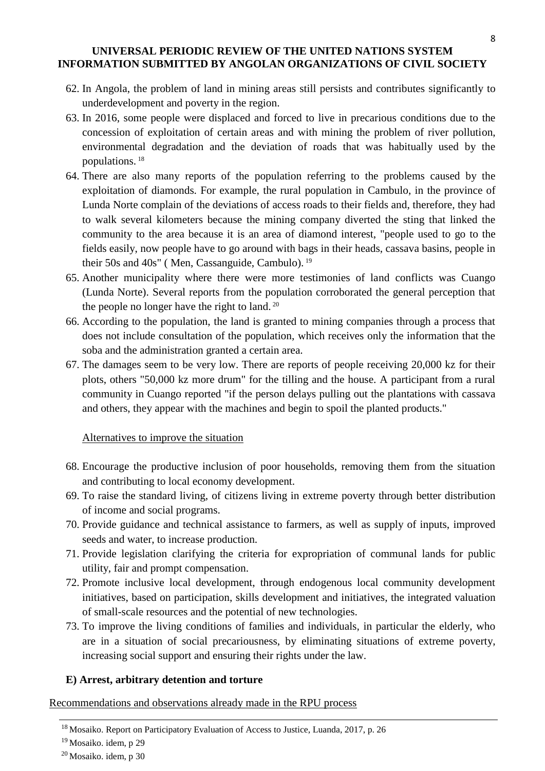- 62. In Angola, the problem of land in mining areas still persists and contributes significantly to underdevelopment and poverty in the region.
- 63. In 2016, some people were displaced and forced to live in precarious conditions due to the concession of exploitation of certain areas and with mining the problem of river pollution, environmental degradation and the deviation of roads that was habitually used by the populations. <sup>18</sup>
- 64. There are also many reports of the population referring to the problems caused by the exploitation of diamonds. For example, the rural population in Cambulo, in the province of Lunda Norte complain of the deviations of access roads to their fields and, therefore, they had to walk several kilometers because the mining company diverted the sting that linked the community to the area because it is an area of diamond interest, "people used to go to the fields easily, now people have to go around with bags in their heads, cassava basins, people in their 50s and 40s" ( Men, Cassanguide, Cambulo). <sup>19</sup>
- 65. Another municipality where there were more testimonies of land conflicts was Cuango (Lunda Norte). Several reports from the population corroborated the general perception that the people no longer have the right to land. <sup>20</sup>
- 66. According to the population, the land is granted to mining companies through a process that does not include consultation of the population, which receives only the information that the soba and the administration granted a certain area.
- 67. The damages seem to be very low. There are reports of people receiving 20,000 kz for their plots, others "50,000 kz more drum" for the tilling and the house. A participant from a rural community in Cuango reported "if the person delays pulling out the plantations with cassava and others, they appear with the machines and begin to spoil the planted products."

# Alternatives to improve the situation

- 68. Encourage the productive inclusion of poor households, removing them from the situation and contributing to local economy development.
- 69. To raise the standard living, of citizens living in extreme poverty through better distribution of income and social programs.
- 70. Provide guidance and technical assistance to farmers, as well as supply of inputs, improved seeds and water, to increase production.
- 71. Provide legislation clarifying the criteria for expropriation of communal lands for public utility, fair and prompt compensation.
- 72. Promote inclusive local development, through endogenous local community development initiatives, based on participation, skills development and initiatives, the integrated valuation of small-scale resources and the potential of new technologies.
- 73. To improve the living conditions of families and individuals, in particular the elderly, who are in a situation of social precariousness, by eliminating situations of extreme poverty, increasing social support and ensuring their rights under the law.

# **E) Arrest, arbitrary detention and torture**

Recommendations and observations already made in the RPU process

<sup>&</sup>lt;sup>18</sup> Mosaiko. Report on Participatory Evaluation of Access to Justice, Luanda, 2017, p. 26

<sup>&</sup>lt;sup>19</sup> Mosaiko. idem, p 29

 $20$  Mosaiko. idem, p 30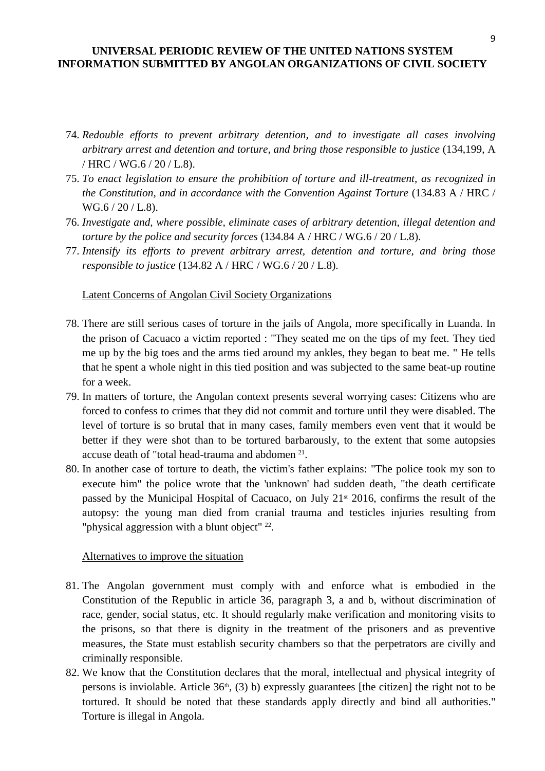- 74. *Redouble efforts to prevent arbitrary detention, and to investigate all cases involving arbitrary arrest and detention and torture, and bring those responsible to justice* (134,199, A / HRC / WG.6 / 20 / L.8).
- 75. *To enact legislation to ensure the prohibition of torture and ill-treatment, as recognized in the Constitution, and in accordance with the Convention Against Torture* (134.83 A / HRC / WG.6 / 20 / L.8).
- 76. *Investigate and, where possible, eliminate cases of arbitrary detention, illegal detention and torture by the police and security forces* (134.84 A / HRC / WG.6 / 20 / L.8).
- 77. *Intensify its efforts to prevent arbitrary arrest, detention and torture, and bring those responsible to justice* (134.82 A / HRC / WG.6 / 20 / L.8).

#### Latent Concerns of Angolan Civil Society Organizations

- 78. There are still serious cases of torture in the jails of Angola, more specifically in Luanda. In the prison of Cacuaco a victim reported : "They seated me on the tips of my feet. They tied me up by the big toes and the arms tied around my ankles, they began to beat me. " He tells that he spent a whole night in this tied position and was subjected to the same beat-up routine for a week.
- 79. In matters of torture, the Angolan context presents several worrying cases: Citizens who are forced to confess to crimes that they did not commit and torture until they were disabled. The level of torture is so brutal that in many cases, family members even vent that it would be better if they were shot than to be tortured barbarously, to the extent that some autopsies accuse death of "total head-trauma and abdomen<sup>21</sup>.
- 80. In another case of torture to death, the victim's father explains: "The police took my son to execute him" the police wrote that the 'unknown' had sudden death, "the death certificate passed by the Municipal Hospital of Cacuaco, on July 21<sup>st</sup> 2016, confirms the result of the autopsy: the young man died from cranial trauma and testicles injuries resulting from "physical aggression with a blunt object" <sup>22</sup>.

#### Alternatives to improve the situation

- 81. The Angolan government must comply with and enforce what is embodied in the Constitution of the Republic in article 36, paragraph 3, a and b, without discrimination of race, gender, social status, etc. It should regularly make verification and monitoring visits to the prisons, so that there is dignity in the treatment of the prisoners and as preventive measures, the State must establish security chambers so that the perpetrators are civilly and criminally responsible.
- 82. We know that the Constitution declares that the moral, intellectual and physical integrity of persons is inviolable. Article  $36<sup>th</sup>$ , (3) b) expressly guarantees [the citizen] the right not to be tortured. It should be noted that these standards apply directly and bind all authorities." Torture is illegal in Angola.